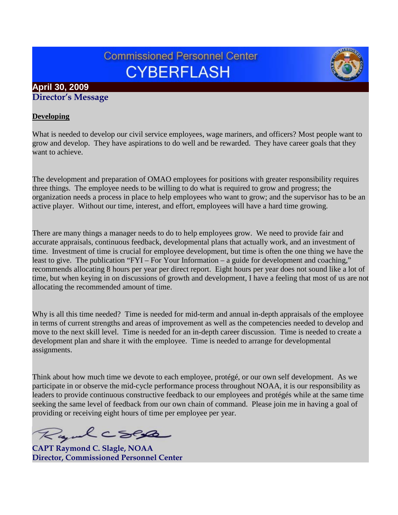# **Commissioned Personnel Center CYBERFLASH**

## **April 30, 2009 Director's Message**

## **Developing**

What is needed to develop our civil service employees, wage mariners, and officers? Most people want to grow and develop. They have aspirations to do well and be rewarded. They have career goals that they want to achieve.

The development and preparation of OMAO employees for positions with greater responsibility requires three things. The employee needs to be willing to do what is required to grow and progress; the organization needs a process in place to help employees who want to grow; and the supervisor has to be an active player. Without our time, interest, and effort, employees will have a hard time growing.

There are many things a manager needs to do to help employees grow. We need to provide fair and accurate appraisals, continuous feedback, developmental plans that actually work, and an investment of time. Investment of time is crucial for employee development, but time is often the one thing we have the least to give. The publication "FYI – For Your Information – a guide for development and coaching," recommends allocating 8 hours per year per direct report. Eight hours per year does not sound like a lot of time, but when keying in on discussions of growth and development, I have a feeling that most of us are not allocating the recommended amount of time.

Why is all this time needed? Time is needed for mid-term and annual in-depth appraisals of the employee in terms of current strengths and areas of improvement as well as the competencies needed to develop and move to the next skill level. Time is needed for an in-depth career discussion. Time is needed to create a development plan and share it with the employee. Time is needed to arrange for developmental assignments.

Think about how much time we devote to each employee, protégé, or our own self development. As we participate in or observe the mid-cycle performance process throughout NOAA, it is our responsibility as leaders to provide continuous constructive feedback to our employees and protégés while at the same time seeking the same level of feedback from our own chain of command. Please join me in having a goal of providing or receiving eight hours of time per employee per year.

Ryulcsesa

**CAPT Raymond C. Slagle, NOAA Director, Commissioned Personnel Center**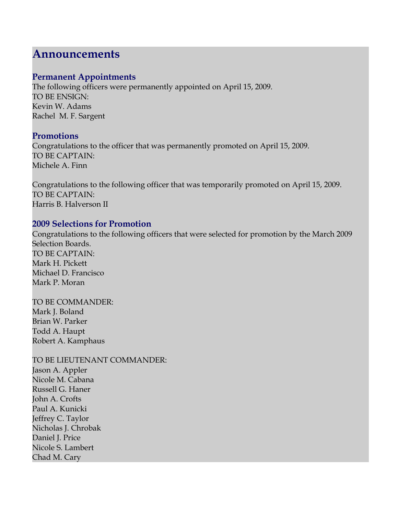## **Announcements**

## **Permanent Appointments**

The following officers were permanently appointed on April 15, 2009. TO BE ENSIGN: Kevin W. Adams Rachel M. F. Sargent

## **Promotions**

Congratulations to the officer that was permanently promoted on April 15, 2009. TO BE CAPTAIN: Michele A. Finn

Congratulations to the following officer that was temporarily promoted on April 15, 2009. TO BE CAPTAIN: Harris B. Halverson II

## **2009 Selections for Promotion**

Congratulations to the following officers that were selected for promotion by the March 2009 Selection Boards. TO BE CAPTAIN: Mark H. Pickett Michael D. Francisco Mark P. Moran

TO BE COMMANDER: Mark J. Boland Brian W. Parker Todd A. Haupt Robert A. Kamphaus

TO BE LIEUTENANT COMMANDER: Jason A. Appler Nicole M. Cabana Russell G. Haner John A. Crofts Paul A. Kunicki Jeffrey C. Taylor Nicholas J. Chrobak Daniel J. Price Nicole S. Lambert Chad M. Cary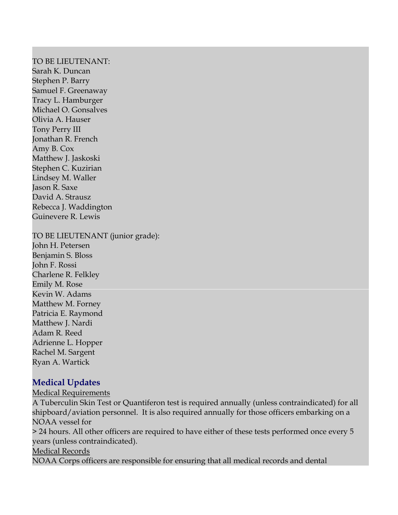#### TO BE LIEUTENANT:

Sarah K. Duncan Stephen P. Barry Samuel F. Greenaway Tracy L. Hamburger Michael O. Gonsalves Olivia A. Hauser Tony Perry III Jonathan R. French Amy B. Cox Matthew J. Jaskoski Stephen C. Kuzirian Lindsey M. Waller Jason R. Saxe David A. Strausz Rebecca J. Waddington Guinevere R. Lewis

TO BE LIEUTENANT (junior grade):

John H. Petersen Benjamin S. Bloss John F. Rossi Charlene R. Felkley Emily M. Rose Kevin W. Adams Matthew M. Forney Patricia E. Raymond Matthew J. Nardi Adam R. Reed Adrienne L. Hopper Rachel M. Sargent Ryan A. Wartick

## **Medical Updates**

Medical Requirements A Tuberculin Skin Test or Quantiferon test is required annually (unless contraindicated) for all shipboard/aviation personnel. It is also required annually for those officers embarking on a NOAA vessel for > 24 hours. All other officers are required to have either of these tests performed once every 5 years (unless contraindicated). Medical Records NOAA Corps officers are responsible for ensuring that all medical records and dental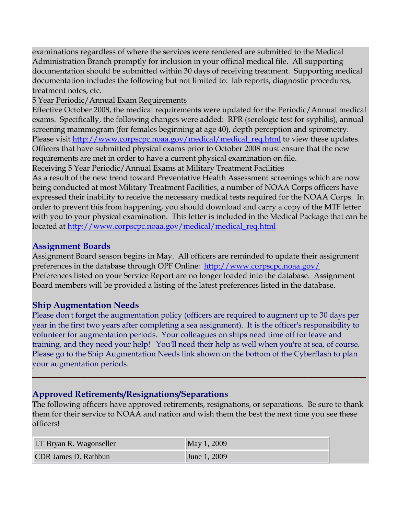examinations regardless of where the services were rendered are submitted to the Medical Administration Branch promptly for inclusion in your official medical file. All supporting documentation should be submitted within 30 days of receiving treatment. Supporting medical documentation includes the following but not limited to: lab reports, diagnostic procedures, treatment notes, etc.

5 Year Periodic/Annual Exam Requirements

Effective October 2008, the medical requirements were updated for the Periodic/Annual medical exams. Specifically, the following changes were added: RPR (serologic test for syphilis), annual screening mammogram (for females beginning at age 40), depth perception and spirometry. Please visit [http://www.corpscpc.noaa.gov/medical/medical\\_req.html](http://www.corpscpc.noaa.gov/medical/medical_req.html) to view these updates. Officers that have submitted physical exams prior to October 2008 must ensure that the new requirements are met in order to have a current physical examination on file.

Receiving 5 Year Periodic/Annual Exams at Military Treatment Facilities

As a result of the new trend toward Preventative Health Assessment screenings which are now being conducted at most Military Treatment Facilities, a number of NOAA Corps officers have expressed their inability to receive the necessary medical tests required for the NOAA Corps. In order to prevent this from happening, you should download and carry a copy of the MTF letter with you to your physical examination. This letter is included in the Medical Package that can be located at [http://www.corpscpc.noaa.gov/medical/medical\\_req.html](http://www.corpscpc.noaa.gov/medical/medical_req.html)

## **Assignment Boards**

Assignment Board season begins in May. All officers are reminded to update their assignment preferences in the database through OPF Online: <http://www.corpscpc.noaa.gov/> Preferences listed on your Service Report are no longer loaded into the database. Assignment Board members will be provided a listing of the latest preferences listed in the database.

## **Ship Augmentation Needs**

Please don't forget the augmentation policy (officers are required to augment up to 30 days per year in the first two years after completing a sea assignment). It is the officer's responsibility to volunteer for augmentation periods. Your colleagues on ships need time off for leave and training, and they need your help! You'll need their help as well when you're at sea, of course. Please go to the Ship Augmentation Needs link shown on the bottom of the Cyberflash to plan your augmentation periods.

## **Approved Retirements/Resignations/Separations**

The following officers have approved retirements, resignations, or separations. Be sure to thank them for their service to NOAA and nation and wish them the best the next time you see these officers!

**\_\_\_\_\_\_\_\_\_\_\_\_\_\_\_\_\_\_\_\_\_\_\_\_\_\_\_\_\_\_\_\_\_\_\_\_\_\_\_\_\_\_\_\_\_\_\_\_\_\_\_\_\_\_\_\_\_\_\_\_\_\_\_\_\_\_\_\_\_\_\_\_\_\_\_\_**

| LT Bryan R. Wagonseller | May 1, 2009  |
|-------------------------|--------------|
| CDR James D. Rathbun    | June 1, 2009 |